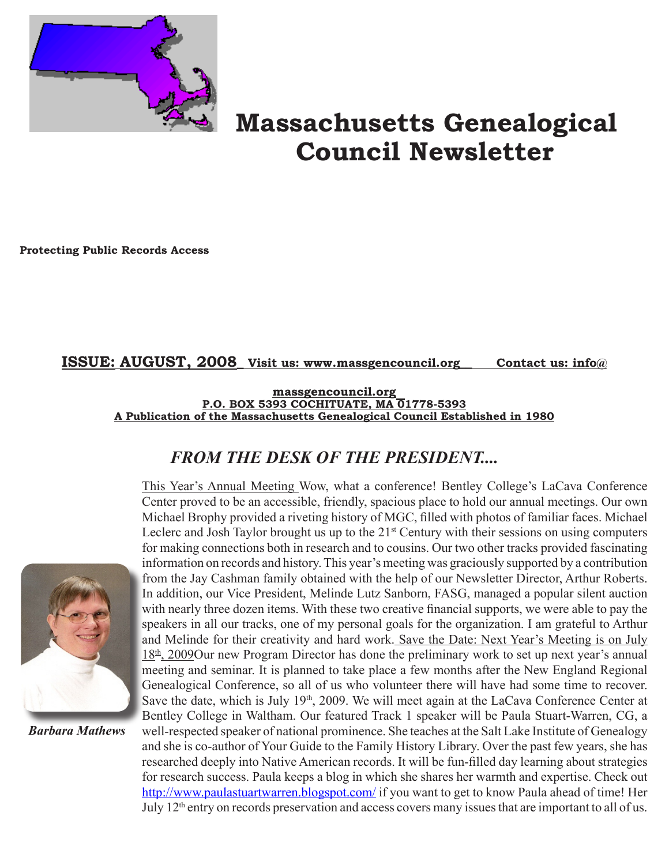

# **Massachusetts Genealogical Council Newsletter**

**Protecting Public Records Access**

## **ISSUE: AUGUST, 2008\_ Visit us: www.massgencouncil.org\_\_ Contact us: info@**

**massgencouncil.org** P.O. BOX 5393 COCHITUATE, MA 01778-5393 **A Publication of the Massachusetts Genealogical Council Established in 1980**

# *FROM THE DESK OF THE PRESIDENT....*



*Barbara Mathews*

This Year's Annual Meeting Wow, what a conference! Bentley College's LaCava Conference Center proved to be an accessible, friendly, spacious place to hold our annual meetings. Our own Michael Brophy provided a riveting history of MGC, filled with photos of familiar faces. Michael Leclerc and Josh Taylor brought us up to the  $21<sup>st</sup>$  Century with their sessions on using computers for making connections both in research and to cousins. Our two other tracks provided fascinating information on records and history. This year's meeting was graciously supported by a contribution from the Jay Cashman family obtained with the help of our Newsletter Director, Arthur Roberts. In addition, our Vice President, Melinde Lutz Sanborn, FASG, managed a popular silent auction with nearly three dozen items. With these two creative financial supports, we were able to pay the speakers in all our tracks, one of my personal goals for the organization. I am grateful to Arthur and Melinde for their creativity and hard work. Save the Date: Next Year's Meeting is on July  $18<sup>th</sup>$ , 2009Our new Program Director has done the preliminary work to set up next year's annual meeting and seminar. It is planned to take place a few months after the New England Regional Genealogical Conference, so all of us who volunteer there will have had some time to recover. Save the date, which is July 19<sup>th</sup>, 2009. We will meet again at the LaCava Conference Center at Bentley College in Waltham. Our featured Track 1 speaker will be Paula Stuart-Warren, CG, a well-respected speaker of national prominence. She teaches at the Salt Lake Institute of Genealogy and she is co-author of Your Guide to the Family History Library. Over the past few years, she has researched deeply into Native American records. It will be fun-filled day learning about strategies for research success. Paula keeps a blog in which she shares her warmth and expertise. Check out http://www.paulastuartwarren.blogspot.com/ if you want to get to know Paula ahead of time! Her July 12th entry on records preservation and access covers many issues that are important to all of us.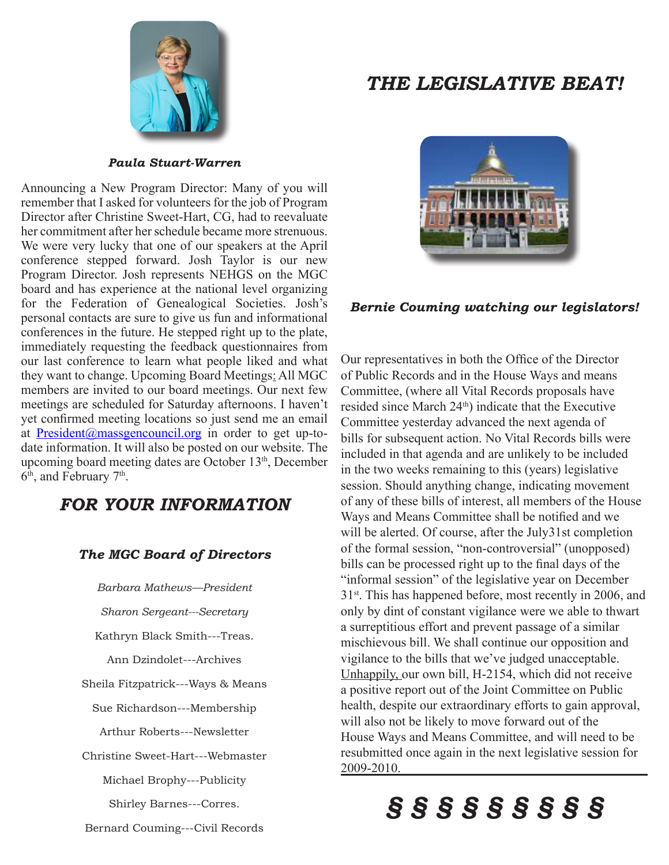

# *THE LEGISLATIVE BEAT!*

#### *Paula Stuart-Warren*

Announcing a New Program Director: Many of you will remember that I asked for volunteers for the job of Program Director after Christine Sweet-Hart, CG, had to reevaluate her commitment after her schedule became more strenuous. We were very lucky that one of our speakers at the April conference stepped forward. Josh Taylor is our new Program Director. Josh represents NEHGS on the MGC board and has experience at the national level organizing for the Federation of Genealogical Societies. Josh's personal contacts are sure to give us fun and informational conferences in the future. He stepped right up to the plate, immediately requesting the feedback questionnaires from our last conference to learn what people liked and what they want to change. Upcoming Board Meetings: All MGC members are invited to our board meetings. Our next few meetings are scheduled for Saturday afternoons. I haven't yet confirmed meeting locations so just send me an email at President@massgencouncil.org in order to get up-todate information. It will also be posted on our website. The upcoming board meeting dates are October 13<sup>th</sup>, December 6<sup>th</sup>, and February 7<sup>th</sup>.

# *FOR YOUR INFORMATION*

### *The MGC Board of Directors*

*Barbara Mathews—President*

*Sharon Sergeant---Secretary*

Kathryn Black Smith---Treas.

Ann Dzindolet---Archives

Sheila Fitzpatrick---Ways & Means

Sue Richardson---Membership

Arthur Roberts---Newsletter

Christine Sweet-Hart---Webmaster

Michael Brophy---Publicity

Shirley Barnes---Corres.

### *Bernie Couming watching our legislators!*

Our representatives in both the Office of the Director of Public Records and in the House Ways and means Committee, (where all Vital Records proposals have resided since March 24<sup>th</sup>) indicate that the Executive Committee yesterday advanced the next agenda of bills for subsequent action. No Vital Records bills were included in that agenda and are unlikely to be included in the two weeks remaining to this (years) legislative session. Should anything change, indicating movement of any of these bills of interest, all members of the House Ways and Means Committee shall be notified and we will be alerted. Of course, after the July31st completion of the formal session, "non-controversial" (unopposed) bills can be processed right up to the final days of the "informal session" of the legislative year on December 31st. This has happened before, most recently in 2006, and only by dint of constant vigilance were we able to thwart a surreptitious effort and prevent passage of a similar mischievous bill. We shall continue our opposition and vigilance to the bills that we've judged unacceptable. Unhappily, our own bill, H-2154, which did not receive a positive report out of the Joint Committee on Public health, despite our extraordinary efforts to gain approval, will also not be likely to move forward out of the House Ways and Means Committee, and will need to be resubmitted once again in the next legislative session for 2009-2010.

# *§ § § § § § § § §*

Bernard Couming---Civil Records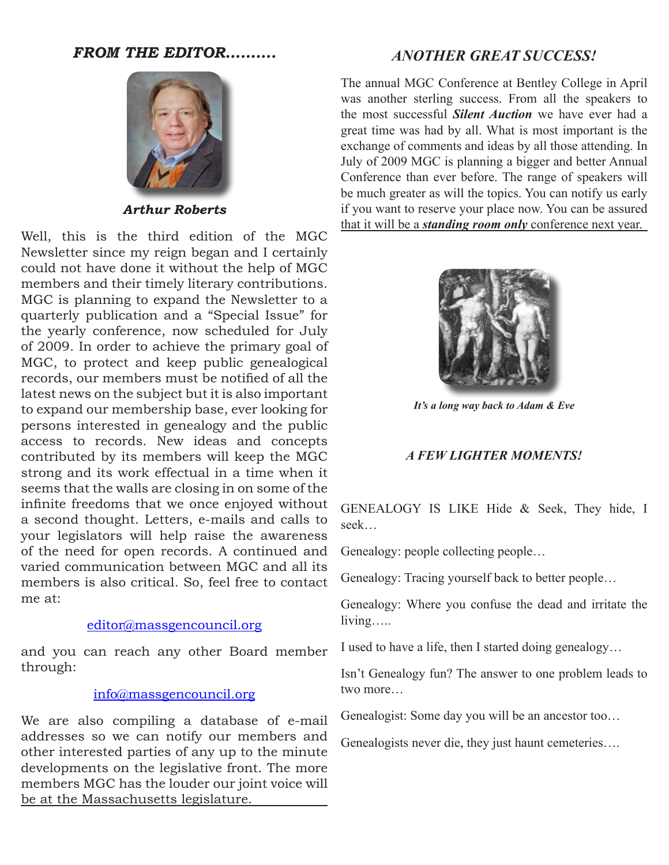## *FROM THE EDITOR……….*



*Arthur Roberts*

Well, this is the third edition of the MGC Newsletter since my reign began and I certainly could not have done it without the help of MGC members and their timely literary contributions. MGC is planning to expand the Newsletter to a quarterly publication and a "Special Issue" for the yearly conference, now scheduled for July of 2009. In order to achieve the primary goal of MGC, to protect and keep public genealogical records, our members must be notified of all the latest news on the subject but it is also important to expand our membership base, ever looking for persons interested in genealogy and the public access to records. New ideas and concepts contributed by its members will keep the MGC strong and its work effectual in a time when it seems that the walls are closing in on some of the infinite freedoms that we once enjoyed without a second thought. Letters, e-mails and calls to your legislators will help raise the awareness of the need for open records. A continued and varied communication between MGC and all its members is also critical. So, feel free to contact me at:

## editor@massgencouncil.org

and you can reach any other Board member through:

### info@massgencouncil.org

We are also compiling a database of e-mail addresses so we can notify our members and other interested parties of any up to the minute developments on the legislative front. The more members MGC has the louder our joint voice will be at the Massachusetts legislature.

# *ANOTHER GREAT SUCCESS!*

The annual MGC Conference at Bentley College in April was another sterling success. From all the speakers to the most successful *Silent Auction* we have ever had a great time was had by all. What is most important is the exchange of comments and ideas by all those attending. In July of 2009 MGC is planning a bigger and better Annual Conference than ever before. The range of speakers will be much greater as will the topics. You can notify us early if you want to reserve your place now. You can be assured that it will be a *standing room only* conference next year.



*It's a long way back to Adam & Eve*

## *A FEW LIGHTER MOMENTS!*

GENEALOGY IS LIKE Hide & Seek, They hide, I seek…

Genealogy: people collecting people…

Genealogy: Tracing yourself back to better people…

Genealogy: Where you confuse the dead and irritate the living…..

I used to have a life, then I started doing genealogy…

Isn't Genealogy fun? The answer to one problem leads to two more…

Genealogist: Some day you will be an ancestor too…

Genealogists never die, they just haunt cemeteries….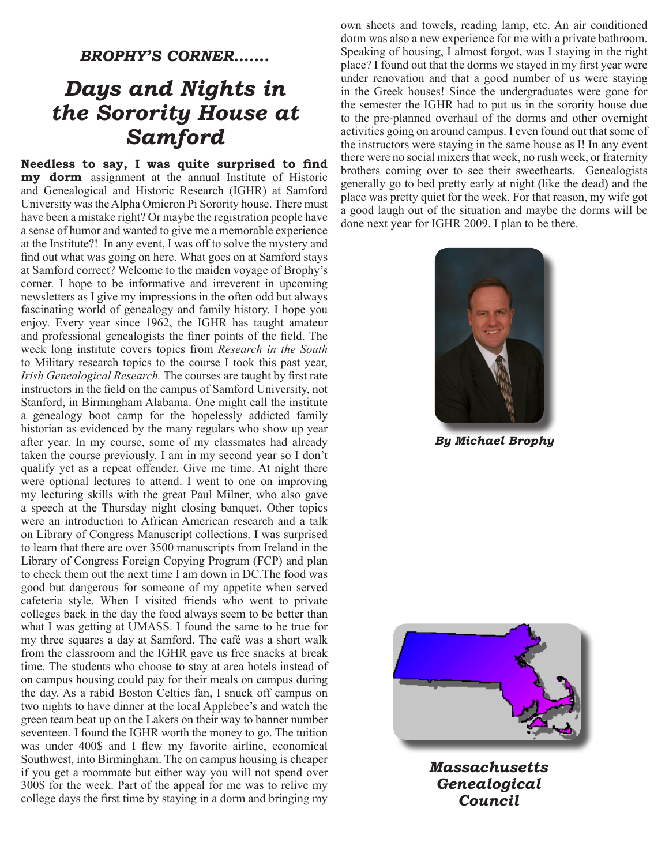## *BROPHY'S CORNER…….*

# *Days and Nights in the Sorority House at Samford*

**Needless to say, I was quite surprised to find my dorm** assignment at the annual Institute of Historic and Genealogical and Historic Research (IGHR) at Samford University was the Alpha Omicron Pi Sorority house. There must have been a mistake right? Or maybe the registration people have a sense of humor and wanted to give me a memorable experience at the Institute?! In any event, I was off to solve the mystery and find out what was going on here. What goes on at Samford stays at Samford correct? Welcome to the maiden voyage of Brophy's corner. I hope to be informative and irreverent in upcoming newsletters as I give my impressions in the often odd but always fascinating world of genealogy and family history. I hope you enjoy. Every year since 1962, the IGHR has taught amateur and professional genealogists the finer points of the field. The week long institute covers topics from *Research in the South* to Military research topics to the course I took this past year, *Irish Genealogical Research.* The courses are taught by first rate instructors in the field on the campus of Samford University, not Stanford, in Birmingham Alabama. One might call the institute a genealogy boot camp for the hopelessly addicted family historian as evidenced by the many regulars who show up year after year. In my course, some of my classmates had already taken the course previously. I am in my second year so I don't qualify yet as a repeat offender. Give me time. At night there were optional lectures to attend. I went to one on improving my lecturing skills with the great Paul Milner, who also gave a speech at the Thursday night closing banquet. Other topics were an introduction to African American research and a talk on Library of Congress Manuscript collections. I was surprised to learn that there are over 3500 manuscripts from Ireland in the Library of Congress Foreign Copying Program (FCP) and plan to check them out the next time I am down in DC.The food was good but dangerous for someone of my appetite when served cafeteria style. When I visited friends who went to private colleges back in the day the food always seem to be better than what I was getting at UMASS. I found the same to be true for my three squares a day at Samford. The café was a short walk from the classroom and the IGHR gave us free snacks at break time. The students who choose to stay at area hotels instead of on campus housing could pay for their meals on campus during the day. As a rabid Boston Celtics fan, I snuck off campus on two nights to have dinner at the local Applebee's and watch the green team beat up on the Lakers on their way to banner number seventeen. I found the IGHR worth the money to go. The tuition was under 400\$ and I flew my favorite airline, economical Southwest, into Birmingham. The on campus housing is cheaper if you get a roommate but either way you will not spend over 300\$ for the week. Part of the appeal for me was to relive my college days the first time by staying in a dorm and bringing my

own sheets and towels, reading lamp, etc. An air conditioned dorm was also a new experience for me with a private bathroom. Speaking of housing, I almost forgot, was I staying in the right place? I found out that the dorms we stayed in my first year were under renovation and that a good number of us were staying in the Greek houses! Since the undergraduates were gone for the semester the IGHR had to put us in the sorority house due to the pre-planned overhaul of the dorms and other overnight activities going on around campus. I even found out that some of the instructors were staying in the same house as I! In any event there were no social mixers that week, no rush week, or fraternity brothers coming over to see their sweethearts. Genealogists generally go to bed pretty early at night (like the dead) and the place was pretty quiet for the week. For that reason, my wife got a good laugh out of the situation and maybe the dorms will be done next year for IGHR 2009. I plan to be there.



*By Michael Brophy*



*Massachusetts Genealogical Council*